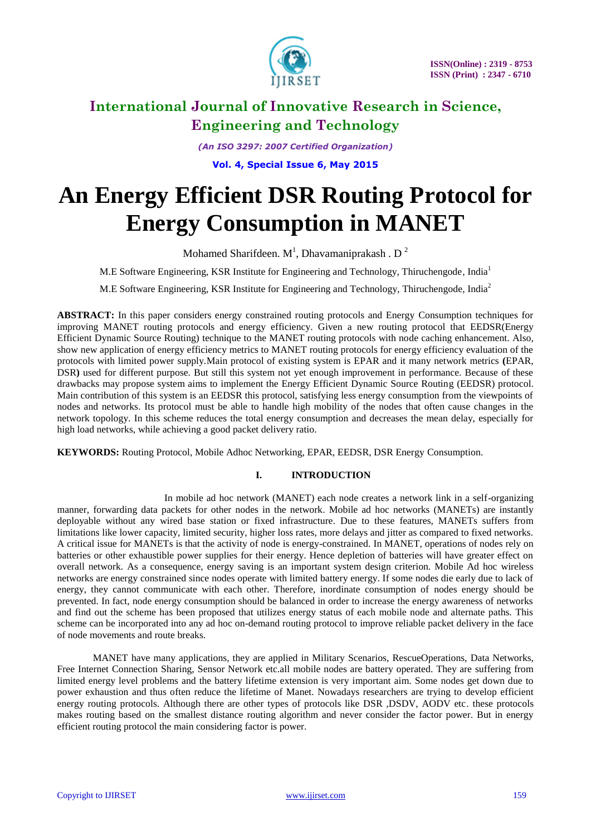

*(An ISO 3297: 2007 Certified Organization)*

**Vol. 4, Special Issue 6, May 2015**

# **An Energy Efficient DSR Routing Protocol for Energy Consumption in MANET**

Mohamed Sharifdeen. M<sup>1</sup>, Dhavamaniprakash . D<sup>2</sup>

M.E Software Engineering, KSR Institute for Engineering and Technology, Thiruchengode, India<sup>1</sup>

M.E Software Engineering, KSR Institute for Engineering and Technology, Thiruchengode, India<sup>2</sup>

**ABSTRACT:** In this paper considers energy constrained routing protocols and Energy Consumption techniques for improving MANET routing protocols and energy efficiency. Given a new routing protocol that EEDSR(Energy Efficient Dynamic Source Routing) technique to the MANET routing protocols with node caching enhancement. Also, show new application of energy efficiency metrics to MANET routing protocols for energy efficiency evaluation of the protocols with limited power supply.Main protocol of existing system is EPAR and it many network metrics **(**EPAR, DSR**)** used for different purpose. But still this system not yet enough improvement in performance. Because of these drawbacks may propose system aims to implement the Energy Efficient Dynamic Source Routing (EEDSR) protocol. Main contribution of this system is an EEDSR this protocol, satisfying less energy consumption from the viewpoints of nodes and networks. Its protocol must be able to handle high mobility of the nodes that often cause changes in the network topology. In this scheme reduces the total energy consumption and decreases the mean delay, especially for high load networks, while achieving a good packet delivery ratio.

**KEYWORDS:** Routing Protocol, Mobile Adhoc Networking, EPAR, EEDSR, DSR Energy Consumption.

# **I. INTRODUCTION**

In mobile ad hoc network (MANET) each node creates a network link in a self-organizing manner, forwarding data packets for other nodes in the network. Mobile ad hoc networks (MANETs) are instantly deployable without any wired base station or fixed infrastructure. Due to these features, MANETs suffers from limitations like lower capacity, limited security, higher loss rates, more delays and jitter as compared to fixed networks. A critical issue for MANETs is that the activity of node is energy-constrained. In MANET, operations of nodes rely on batteries or other exhaustible power supplies for their energy. Hence depletion of batteries will have greater effect on overall network. As a consequence, energy saving is an important system design criterion. Mobile Ad hoc wireless networks are energy constrained since nodes operate with limited battery energy. If some nodes die early due to lack of energy, they cannot communicate with each other. Therefore, inordinate consumption of nodes energy should be prevented. In fact, node energy consumption should be balanced in order to increase the energy awareness of networks and find out the scheme has been proposed that utilizes energy status of each mobile node and alternate paths. This scheme can be incorporated into any ad hoc on-demand routing protocol to improve reliable packet delivery in the face of node movements and route breaks.

MANET have many applications, they are applied in Military Scenarios, RescueOperations, Data Networks, Free Internet Connection Sharing, Sensor Network etc.all mobile nodes are battery operated. They are suffering from limited energy level problems and the battery lifetime extension is very important aim. Some nodes get down due to power exhaustion and thus often reduce the lifetime of Manet. Nowadays researchers are trying to develop efficient energy routing protocols. Although there are other types of protocols like DSR ,DSDV, AODV etc. these protocols makes routing based on the smallest distance routing algorithm and never consider the factor power. But in energy efficient routing protocol the main considering factor is power.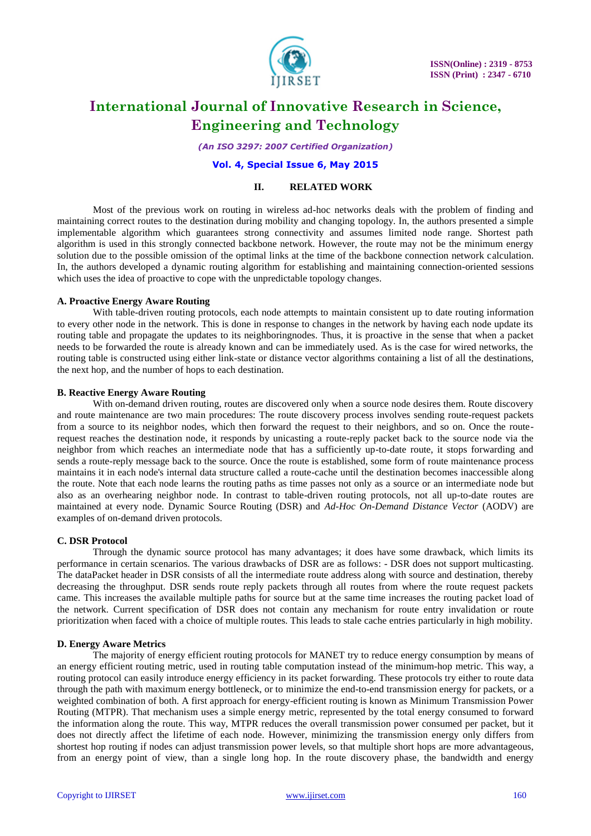

*(An ISO 3297: 2007 Certified Organization)*

### **Vol. 4, Special Issue 6, May 2015**

### **II. RELATED WORK**

Most of the previous work on routing in wireless ad-hoc networks deals with the problem of finding and maintaining correct routes to the destination during mobility and changing topology. In, the authors presented a simple implementable algorithm which guarantees strong connectivity and assumes limited node range. Shortest path algorithm is used in this strongly connected backbone network. However, the route may not be the minimum energy solution due to the possible omission of the optimal links at the time of the backbone connection network calculation. In, the authors developed a dynamic routing algorithm for establishing and maintaining connection-oriented sessions which uses the idea of proactive to cope with the unpredictable topology changes.

### **A. Proactive Energy Aware Routing**

With table-driven routing protocols, each node attempts to maintain consistent up to date routing information to every other node in the network. This is done in response to changes in the network by having each node update its routing table and propagate the updates to its neighboringnodes. Thus, it is proactive in the sense that when a packet needs to be forwarded the route is already known and can be immediately used. As is the case for wired networks, the routing table is constructed using either link-state or distance vector algorithms containing a list of all the destinations, the next hop, and the number of hops to each destination.

#### **B. Reactive Energy Aware Routing**

With on-demand driven routing, routes are discovered only when a source node desires them. Route discovery and route maintenance are two main procedures: The route discovery process involves sending route-request packets from a source to its neighbor nodes, which then forward the request to their neighbors, and so on. Once the routerequest reaches the destination node, it responds by unicasting a route-reply packet back to the source node via the neighbor from which reaches an intermediate node that has a sufficiently up-to-date route, it stops forwarding and sends a route-reply message back to the source. Once the route is established, some form of route maintenance process maintains it in each node's internal data structure called a route-cache until the destination becomes inaccessible along the route. Note that each node learns the routing paths as time passes not only as a source or an intermediate node but also as an overhearing neighbor node. In contrast to table-driven routing protocols, not all up-to-date routes are maintained at every node. Dynamic Source Routing (DSR) and *Ad-Hoc On-Demand Distance Vector* (AODV) are examples of on-demand driven protocols.

### **C. DSR Protocol**

Through the dynamic source protocol has many advantages; it does have some drawback, which limits its performance in certain scenarios. The various drawbacks of DSR are as follows: - DSR does not support multicasting. The dataPacket header in DSR consists of all the intermediate route address along with source and destination, thereby decreasing the throughput. DSR sends route reply packets through all routes from where the route request packets came. This increases the available multiple paths for source but at the same time increases the routing packet load of the network. Current specification of DSR does not contain any mechanism for route entry invalidation or route prioritization when faced with a choice of multiple routes. This leads to stale cache entries particularly in high mobility.

#### **D. Energy Aware Metrics**

The majority of energy efficient routing protocols for MANET try to reduce energy consumption by means of an energy efficient routing metric, used in routing table computation instead of the minimum-hop metric. This way, a routing protocol can easily introduce energy efficiency in its packet forwarding. These protocols try either to route data through the path with maximum energy bottleneck, or to minimize the end-to-end transmission energy for packets, or a weighted combination of both. A first approach for energy-efficient routing is known as Minimum Transmission Power Routing (MTPR). That mechanism uses a simple energy metric, represented by the total energy consumed to forward the information along the route. This way, MTPR reduces the overall transmission power consumed per packet, but it does not directly affect the lifetime of each node. However, minimizing the transmission energy only differs from shortest hop routing if nodes can adjust transmission power levels, so that multiple short hops are more advantageous, from an energy point of view, than a single long hop. In the route discovery phase, the bandwidth and energy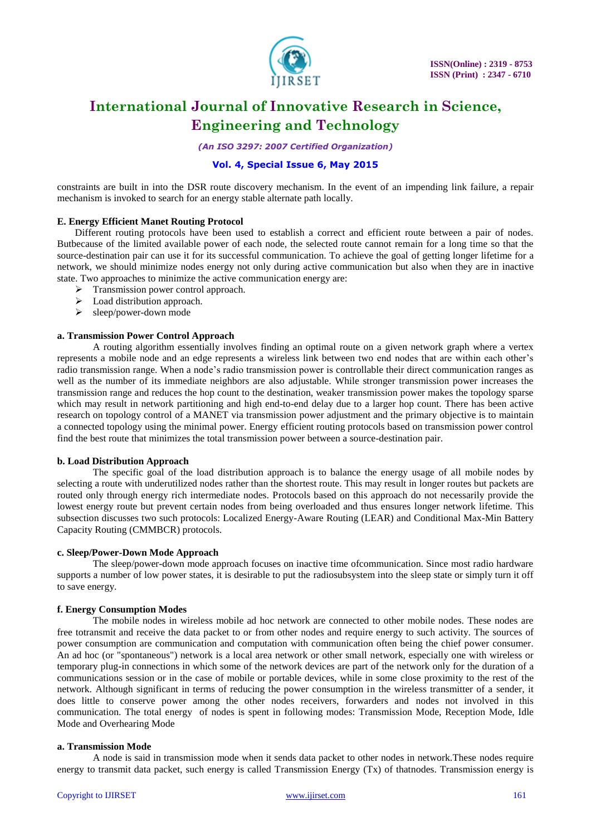

*(An ISO 3297: 2007 Certified Organization)*

### **Vol. 4, Special Issue 6, May 2015**

constraints are built in into the DSR route discovery mechanism. In the event of an impending link failure, a repair mechanism is invoked to search for an energy stable alternate path locally.

### **E. Energy Efficient Manet Routing Protocol**

Different routing protocols have been used to establish a correct and efficient route between a pair of nodes. Butbecause of the limited available power of each node, the selected route cannot remain for a long time so that the source-destination pair can use it for its successful communication. To achieve the goal of getting longer lifetime for a network, we should minimize nodes energy not only during active communication but also when they are in inactive state. Two approaches to minimize the active communication energy are:

- $\triangleright$  Transmission power control approach.
- > Load distribution approach.
- $\triangleright$  sleep/power-down mode

### **a. Transmission Power Control Approach**

A routing algorithm essentially involves finding an optimal route on a given network graph where a vertex represents a mobile node and an edge represents a wireless link between two end nodes that are within each other's radio transmission range. When a node's radio transmission power is controllable their direct communication ranges as well as the number of its immediate neighbors are also adjustable. While stronger transmission power increases the transmission range and reduces the hop count to the destination, weaker transmission power makes the topology sparse which may result in network partitioning and high end-to-end delay due to a larger hop count. There has been active research on topology control of a MANET via transmission power adjustment and the primary objective is to maintain a connected topology using the minimal power. Energy efficient routing protocols based on transmission power control find the best route that minimizes the total transmission power between a source-destination pair.

#### **b. Load Distribution Approach**

The specific goal of the load distribution approach is to balance the energy usage of all mobile nodes by selecting a route with underutilized nodes rather than the shortest route. This may result in longer routes but packets are routed only through energy rich intermediate nodes. Protocols based on this approach do not necessarily provide the lowest energy route but prevent certain nodes from being overloaded and thus ensures longer network lifetime. This subsection discusses two such protocols: Localized Energy-Aware Routing (LEAR) and Conditional Max-Min Battery Capacity Routing (CMMBCR) protocols.

#### **c. Sleep/Power-Down Mode Approach**

The sleep/power-down mode approach focuses on inactive time ofcommunication. Since most radio hardware supports a number of low power states, it is desirable to put the radiosubsystem into the sleep state or simply turn it off to save energy.

#### **f. Energy Consumption Modes**

The mobile nodes in wireless mobile ad hoc network are connected to other mobile nodes. These nodes are free totransmit and receive the data packet to or from other nodes and require energy to such activity. The sources of power consumption are communication and computation with communication often being the chief power consumer. An ad hoc (or "spontaneous") network is a local area network or other small network, especially one with wireless or temporary plug-in connections in which some of the network devices are part of the network only for the duration of a communications session or in the case of mobile or portable devices, while in some close proximity to the rest of the network. Although significant in terms of reducing the power consumption in the wireless transmitter of a sender, it does little to conserve power among the other nodes receivers, forwarders and nodes not involved in this communication. The total energy of nodes is spent in following modes: Transmission Mode, Reception Mode, Idle Mode and Overhearing Mode

#### **a. Transmission Mode**

A node is said in transmission mode when it sends data packet to other nodes in network.These nodes require energy to transmit data packet, such energy is called Transmission Energy (Tx) of thatnodes. Transmission energy is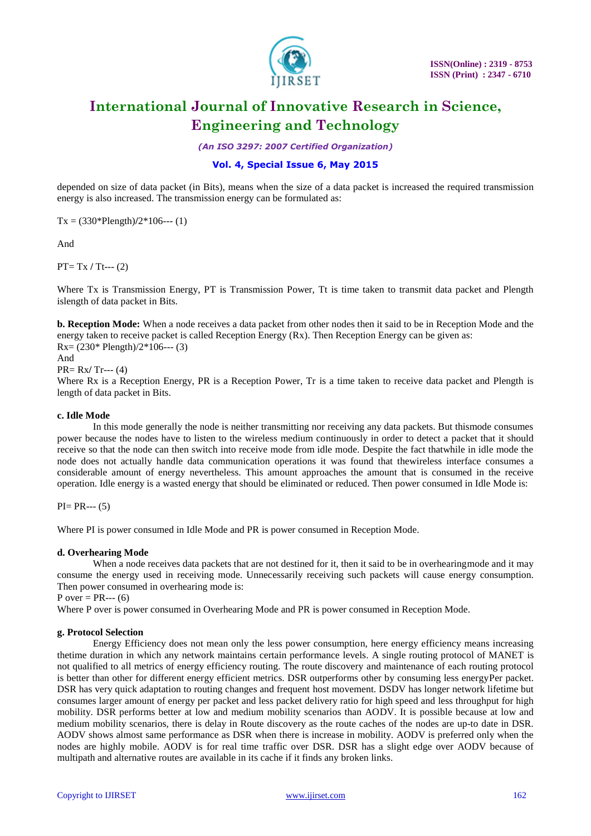

*(An ISO 3297: 2007 Certified Organization)*

# **Vol. 4, Special Issue 6, May 2015**

depended on size of data packet (in Bits), means when the size of a data packet is increased the required transmission energy is also increased. The transmission energy can be formulated as:

 $Tx = (330*Plenath)/2*106---(1)$ 

And

PT= Tx **/** Tt--- (2)

Where Tx is Transmission Energy, PT is Transmission Power, Tt is time taken to transmit data packet and Plength islength of data packet in Bits.

**b. Reception Mode:** When a node receives a data packet from other nodes then it said to be in Reception Mode and the energy taken to receive packet is called Reception Energy (Rx). Then Reception Energy can be given as:  $Rx = (230*$  Plength $)/2*106$ --- (3)

And

### PR= Rx**/** Tr--- (4)

Where Rx is a Reception Energy, PR is a Reception Power, Tr is a time taken to receive data packet and Plength is length of data packet in Bits.

### **c. Idle Mode**

In this mode generally the node is neither transmitting nor receiving any data packets. But thismode consumes power because the nodes have to listen to the wireless medium continuously in order to detect a packet that it should receive so that the node can then switch into receive mode from idle mode. Despite the fact thatwhile in idle mode the node does not actually handle data communication operations it was found that thewireless interface consumes a considerable amount of energy nevertheless. This amount approaches the amount that is consumed in the receive operation. Idle energy is a wasted energy that should be eliminated or reduced. Then power consumed in Idle Mode is:

 $PI = PR$ --- (5)

Where PI is power consumed in Idle Mode and PR is power consumed in Reception Mode.

### **d. Overhearing Mode**

When a node receives data packets that are not destined for it, then it said to be in overhearingmode and it may consume the energy used in receiving mode. Unnecessarily receiving such packets will cause energy consumption. Then power consumed in overhearing mode is:

P over = PR---  $(6)$ 

Where P over is power consumed in Overhearing Mode and PR is power consumed in Reception Mode.

### **g. Protocol Selection**

Energy Efficiency does not mean only the less power consumption, here energy efficiency means increasing thetime duration in which any network maintains certain performance levels. A single routing protocol of MANET is not qualified to all metrics of energy efficiency routing. The route discovery and maintenance of each routing protocol is better than other for different energy efficient metrics. DSR outperforms other by consuming less energyPer packet. DSR has very quick adaptation to routing changes and frequent host movement. DSDV has longer network lifetime but consumes larger amount of energy per packet and less packet delivery ratio for high speed and less throughput for high mobility. DSR performs better at low and medium mobility scenarios than AODV. It is possible because at low and medium mobility scenarios, there is delay in Route discovery as the route caches of the nodes are up-to date in DSR. AODV shows almost same performance as DSR when there is increase in mobility. AODV is preferred only when the nodes are highly mobile. AODV is for real time traffic over DSR. DSR has a slight edge over AODV because of multipath and alternative routes are available in its cache if it finds any broken links.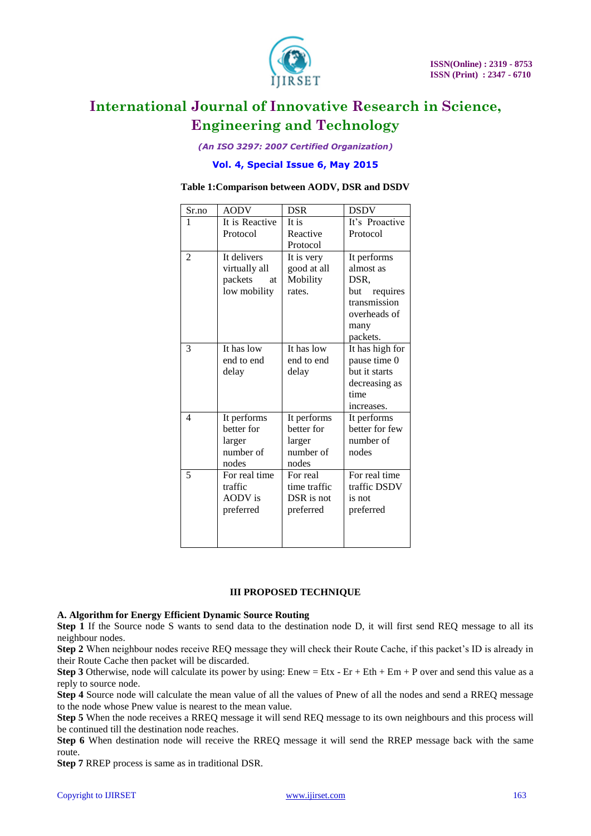

*(An ISO 3297: 2007 Certified Organization)*

### **Vol. 4, Special Issue 6, May 2015**

### **Table 1:Comparison between AODV, DSR and DSDV**

| Sr.no          | <b>AODV</b>    | DSR          | <b>DSDV</b>     |
|----------------|----------------|--------------|-----------------|
| 1              | It is Reactive | It is        | It's Proactive  |
|                | Protocol       | Reactive     | Protocol        |
|                |                | Protocol     |                 |
| $\overline{2}$ | It delivers    | It is very   | It performs     |
|                | virtually all  | good at all  | almost as       |
|                | packets<br>at  | Mobility     | DSR,            |
|                | low mobility   | rates.       | but<br>requires |
|                |                |              | transmission    |
|                |                |              | overheads of    |
|                |                |              | many            |
|                |                |              | packets.        |
| 3              | It has low     | It has low   | It has high for |
|                | end to end     | end to end   | pause time 0    |
|                | delay          | delay        | but it starts   |
|                |                |              | decreasing as   |
|                |                |              | time            |
|                |                |              | increases.      |
| 4              | It performs    | It performs  | It performs     |
|                | better for     | better for   | better for few  |
|                | larger         | larger       | number of       |
|                | number of      | number of    | nodes           |
|                | nodes          | nodes        |                 |
| 5              | For real time  | For real     | For real time   |
|                | traffic        | time traffic | traffic DSDV    |
|                | AODV is        | DSR is not   | is not          |
|                | preferred      | preferred    | preferred       |
|                |                |              |                 |
|                |                |              |                 |
|                |                |              |                 |

### **III PROPOSED TECHNIQUE**

### **A. Algorithm for Energy Efficient Dynamic Source Routing**

**Step 1** If the Source node S wants to send data to the destination node D, it will first send REQ message to all its neighbour nodes.

**Step 2** When neighbour nodes receive REO message they will check their Route Cache, if this packet's ID is already in their Route Cache then packet will be discarded.

**Step 3** Otherwise, node will calculate its power by using: Enew  $= Etx - Er + Eth + Em + P$  over and send this value as a reply to source node.

**Step 4** Source node will calculate the mean value of all the values of Pnew of all the nodes and send a RREQ message to the node whose Pnew value is nearest to the mean value.

**Step 5** When the node receives a RREQ message it will send REQ message to its own neighbours and this process will be continued till the destination node reaches.

**Step 6** When destination node will receive the RREQ message it will send the RREP message back with the same route.

**Step 7** RREP process is same as in traditional DSR.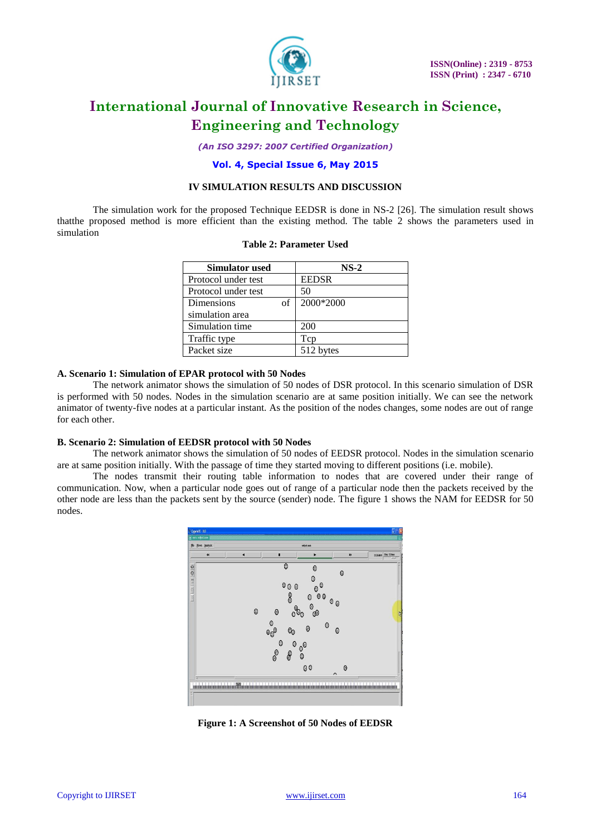

*(An ISO 3297: 2007 Certified Organization)*

### **Vol. 4, Special Issue 6, May 2015**

### **IV SIMULATION RESULTS AND DISCUSSION**

The simulation work for the proposed Technique EEDSR is done in NS-2 [26]. The simulation result shows thatthe proposed method is more efficient than the existing method. The table 2 shows the parameters used in simulation

### **Table 2: Parameter Used**

| Simulator used          | $NS-2$       |  |
|-------------------------|--------------|--|
| Protocol under test     | <b>EEDSR</b> |  |
| Protocol under test     | 50           |  |
| <b>Dimensions</b><br>of | 2000*2000    |  |
| simulation area         |              |  |
| Simulation time         | 200          |  |
| Traffic type            | Tcp          |  |
| Packet size             | 512 bytes    |  |

### **A. Scenario 1: Simulation of EPAR protocol with 50 Nodes**

The network animator shows the simulation of 50 nodes of DSR protocol. In this scenario simulation of DSR is performed with 50 nodes. Nodes in the simulation scenario are at same position initially. We can see the network animator of twenty-five nodes at a particular instant. As the position of the nodes changes, some nodes are out of range for each other.

### **B. Scenario 2: Simulation of EEDSR protocol with 50 Nodes**

The network animator shows the simulation of 50 nodes of EEDSR protocol. Nodes in the simulation scenario are at same position initially. With the passage of time they started moving to different positions (i.e. mobile).

The nodes transmit their routing table information to nodes that are covered under their range of communication. Now, when a particular node goes out of range of a particular node then the packets received by the other node are less than the packets sent by the source (sender) node. The figure 1 shows the NAM for EEDSR for 50 nodes.



**Figure 1: A Screenshot of 50 Nodes of EEDSR**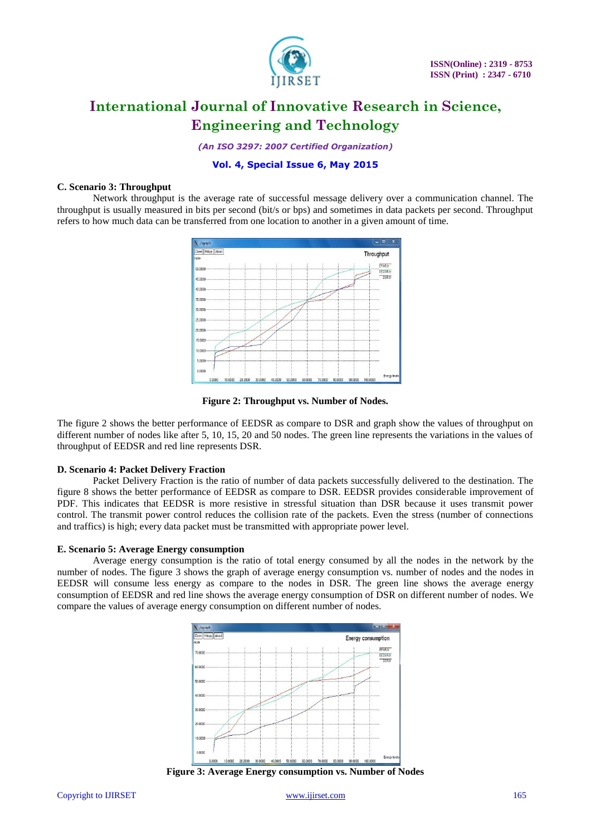

*(An ISO 3297: 2007 Certified Organization)*

# **Vol. 4, Special Issue 6, May 2015**

### **C. Scenario 3: Throughput**

Network throughput is the average rate of successful message delivery over a communication channel. The throughput is usually measured in bits per second (bit/s or bps) and sometimes in data packets per second. Throughput refers to how much data can be transferred from one location to another in a given amount of time.



**Figure 2: Throughput vs. Number of Nodes.**

The figure 2 shows the better performance of EEDSR as compare to DSR and graph show the values of throughput on different number of nodes like after 5, 10, 15, 20 and 50 nodes. The green line represents the variations in the values of throughput of EEDSR and red line represents DSR.

### **D. Scenario 4: Packet Delivery Fraction**

Packet Delivery Fraction is the ratio of number of data packets successfully delivered to the destination. The figure 8 shows the better performance of EEDSR as compare to DSR. EEDSR provides considerable improvement of PDF. This indicates that EEDSR is more resistive in stressful situation than DSR because it uses transmit power control. The transmit power control reduces the collision rate of the packets. Even the stress (number of connections and traffics) is high; every data packet must be transmitted with appropriate power level.

### **E. Scenario 5: Average Energy consumption**

Average energy consumption is the ratio of total energy consumed by all the nodes in the network by the number of nodes. The figure 3 shows the graph of average energy consumption vs. number of nodes and the nodes in EEDSR will consume less energy as compare to the nodes in DSR. The green line shows the average energy consumption of EEDSR and red line shows the average energy consumption of DSR on different number of nodes. We compare the values of average energy consumption on different number of nodes.



**Figure 3: Average Energy consumption vs. Number of Nodes**